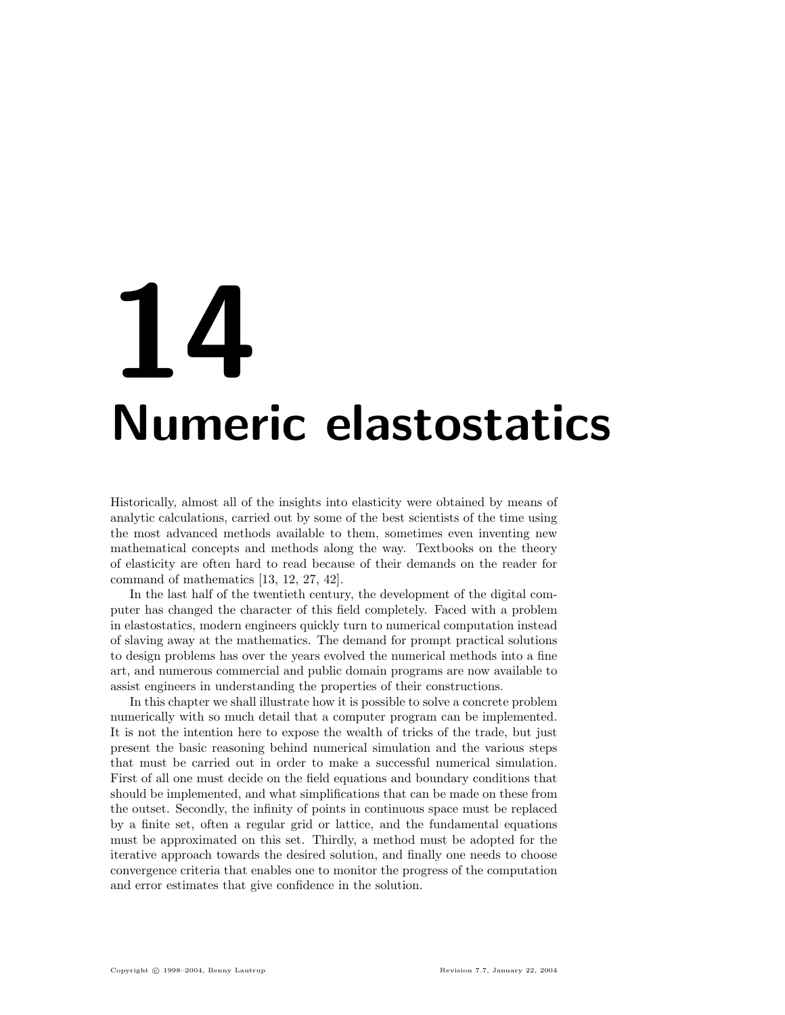# 14 Numeric elastostatics

Historically, almost all of the insights into elasticity were obtained by means of analytic calculations, carried out by some of the best scientists of the time using the most advanced methods available to them, sometimes even inventing new mathematical concepts and methods along the way. Textbooks on the theory of elasticity are often hard to read because of their demands on the reader for command of mathematics [13, 12, 27, 42].

In the last half of the twentieth century, the development of the digital computer has changed the character of this field completely. Faced with a problem in elastostatics, modern engineers quickly turn to numerical computation instead of slaving away at the mathematics. The demand for prompt practical solutions to design problems has over the years evolved the numerical methods into a fine art, and numerous commercial and public domain programs are now available to assist engineers in understanding the properties of their constructions.

In this chapter we shall illustrate how it is possible to solve a concrete problem numerically with so much detail that a computer program can be implemented. It is not the intention here to expose the wealth of tricks of the trade, but just present the basic reasoning behind numerical simulation and the various steps that must be carried out in order to make a successful numerical simulation. First of all one must decide on the field equations and boundary conditions that should be implemented, and what simplifications that can be made on these from the outset. Secondly, the infinity of points in continuous space must be replaced by a finite set, often a regular grid or lattice, and the fundamental equations must be approximated on this set. Thirdly, a method must be adopted for the iterative approach towards the desired solution, and finally one needs to choose convergence criteria that enables one to monitor the progress of the computation and error estimates that give confidence in the solution.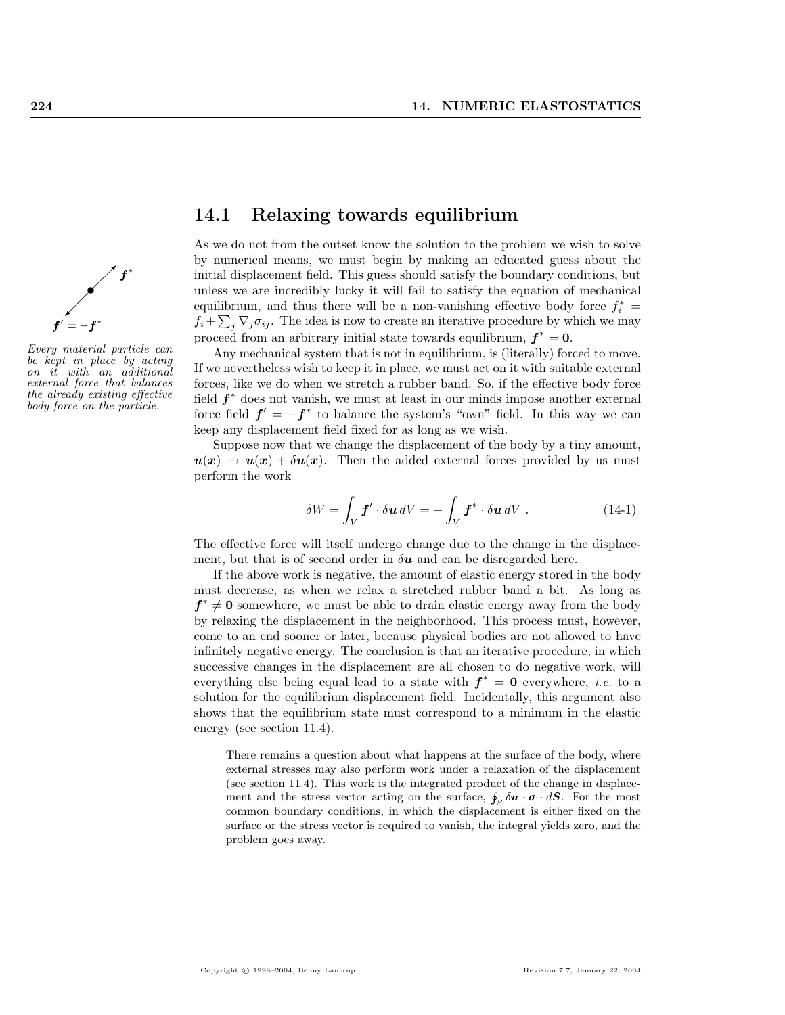

Every material particle can be kept in place by acting on it with an additional external force that balances the already existing effective body force on the particle.

# 14.1 Relaxing towards equilibrium

As we do not from the outset know the solution to the problem we wish to solve by numerical means, we must begin by making an educated guess about the initial displacement field. This guess should satisfy the boundary conditions, but unless we are incredibly lucky it will fail to satisfy the equation of mechanical equilibrium, and thus there will be a non-vanishing effective body force  $f_i^* =$  $f_i + \sum_j \nabla_j \sigma_{ij}$ . The idea is now to create an iterative procedure by which we may proceed from an arbitrary initial state towards equilibrium,  $f^* = 0$ .

Any mechanical system that is not in equilibrium, is (literally) forced to move. If we nevertheless wish to keep it in place, we must act on it with suitable external forces, like we do when we stretch a rubber band. So, if the effective body force field  $f^*$  does not vanish, we must at least in our minds impose another external force field  $f' = -f^*$  to balance the system's "own" field. In this way we can keep any displacement field fixed for as long as we wish.

Suppose now that we change the displacement of the body by a tiny amount,  $u(x) \to u(x) + \delta u(x)$ . Then the added external forces provided by us must perform the work

$$
\delta W = \int_{V} \boldsymbol{f}' \cdot \delta \boldsymbol{u} \, dV = -\int_{V} \boldsymbol{f}^* \cdot \delta \boldsymbol{u} \, dV \, . \tag{14-1}
$$

The effective force will itself undergo change due to the change in the displacement, but that is of second order in  $\delta u$  and can be disregarded here.

If the above work is negative, the amount of elastic energy stored in the body must decrease, as when we relax a stretched rubber band a bit. As long as  $f^* \neq 0$  somewhere, we must be able to drain elastic energy away from the body by relaxing the displacement in the neighborhood. This process must, however, come to an end sooner or later, because physical bodies are not allowed to have infinitely negative energy. The conclusion is that an iterative procedure, in which successive changes in the displacement are all chosen to do negative work, will everything else being equal lead to a state with  $f^* = 0$  everywhere, *i.e.* to a solution for the equilibrium displacement field. Incidentally, this argument also shows that the equilibrium state must correspond to a minimum in the elastic energy (see section 11.4).

There remains a question about what happens at the surface of the body, where external stresses may also perform work under a relaxation of the displacement (see section 11.4). This work is the integrated product of the change in displacement and the stress vector acting on the surface,  $\oint_S \delta \mathbf{u} \cdot \boldsymbol{\sigma} \cdot d\mathbf{S}$ . For the most common boundary conditions, in which the displacement is either fixed on the surface or the stress vector is required to vanish, the integral yields zero, and the problem goes away.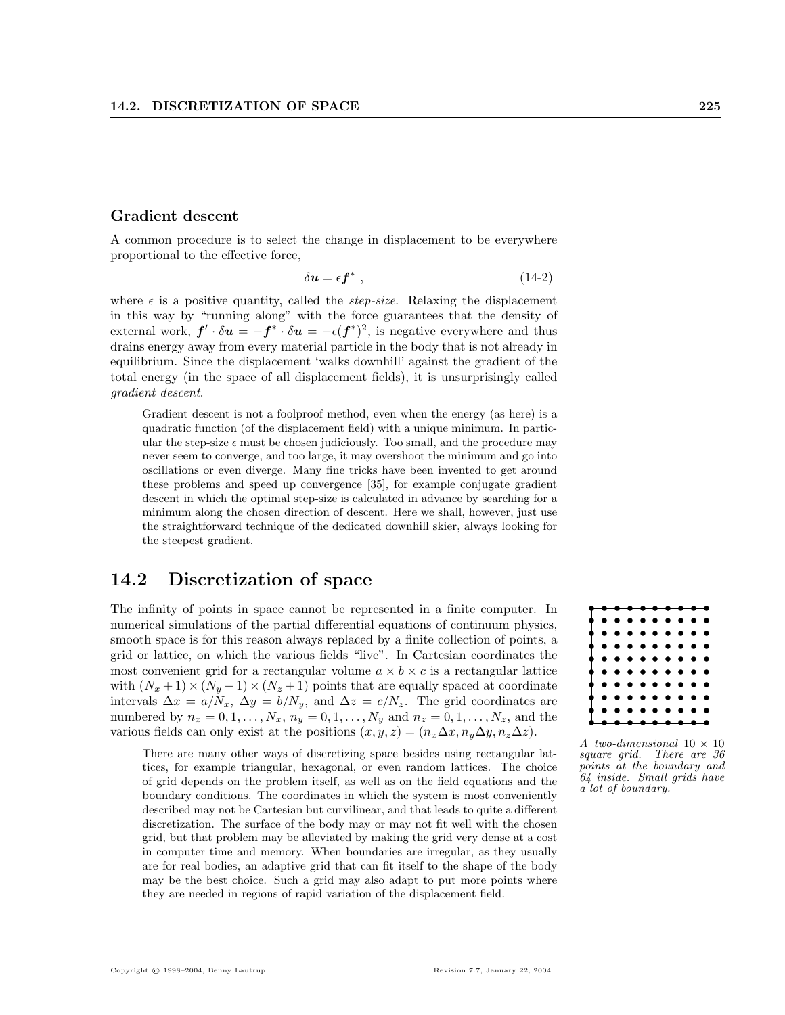#### Gradient descent

A common procedure is to select the change in displacement to be everywhere proportional to the effective force,

$$
\delta u = \epsilon \mathbf{f}^* \tag{14-2}
$$

where  $\epsilon$  is a positive quantity, called the *step-size*. Relaxing the displacement in this way by "running along" with the force guarantees that the density of external work,  $f' \cdot \delta u = -f^* \cdot \delta u = -\epsilon(f^*)^2$ , is negative everywhere and thus drains energy away from every material particle in the body that is not already in equilibrium. Since the displacement 'walks downhill' against the gradient of the total energy (in the space of all displacement fields), it is unsurprisingly called gradient descent.

Gradient descent is not a foolproof method, even when the energy (as here) is a quadratic function (of the displacement field) with a unique minimum. In particular the step-size  $\epsilon$  must be chosen judiciously. Too small, and the procedure may never seem to converge, and too large, it may overshoot the minimum and go into oscillations or even diverge. Many fine tricks have been invented to get around these problems and speed up convergence [35], for example conjugate gradient descent in which the optimal step-size is calculated in advance by searching for a minimum along the chosen direction of descent. Here we shall, however, just use the straightforward technique of the dedicated downhill skier, always looking for the steepest gradient.

# 14.2 Discretization of space

The infinity of points in space cannot be represented in a finite computer. In numerical simulations of the partial differential equations of continuum physics, smooth space is for this reason always replaced by a finite collection of points, a grid or lattice, on which the various fields "live". In Cartesian coordinates the most convenient grid for a rectangular volume  $a \times b \times c$  is a rectangular lattice with  $(N_x+1) \times (N_y+1) \times (N_z+1)$  points that are equally spaced at coordinate intervals  $\Delta x = a/N_x$ ,  $\Delta y = b/N_y$ , and  $\Delta z = c/N_z$ . The grid coordinates are numbered by  $n_x = 0, 1, ..., N_x, n_y = 0, 1, ..., N_y$  and  $n_z = 0, 1, ..., N_z$ , and the various fields can only exist at the positions  $(x, y, z) = (n_x \Delta x, n_y \Delta y, n_z \Delta z)$ .

There are many other ways of discretizing space besides using rectangular lattices, for example triangular, hexagonal, or even random lattices. The choice of grid depends on the problem itself, as well as on the field equations and the boundary conditions. The coordinates in which the system is most conveniently described may not be Cartesian but curvilinear, and that leads to quite a different discretization. The surface of the body may or may not fit well with the chosen grid, but that problem may be alleviated by making the grid very dense at a cost in computer time and memory. When boundaries are irregular, as they usually are for real bodies, an adaptive grid that can fit itself to the shape of the body may be the best choice. Such a grid may also adapt to put more points where they are needed in regions of rapid variation of the displacement field.



A two-dimensional  $10 \times 10$ square grid. There are 36 points at the boundary and 64 inside. Small grids have a lot of boundary.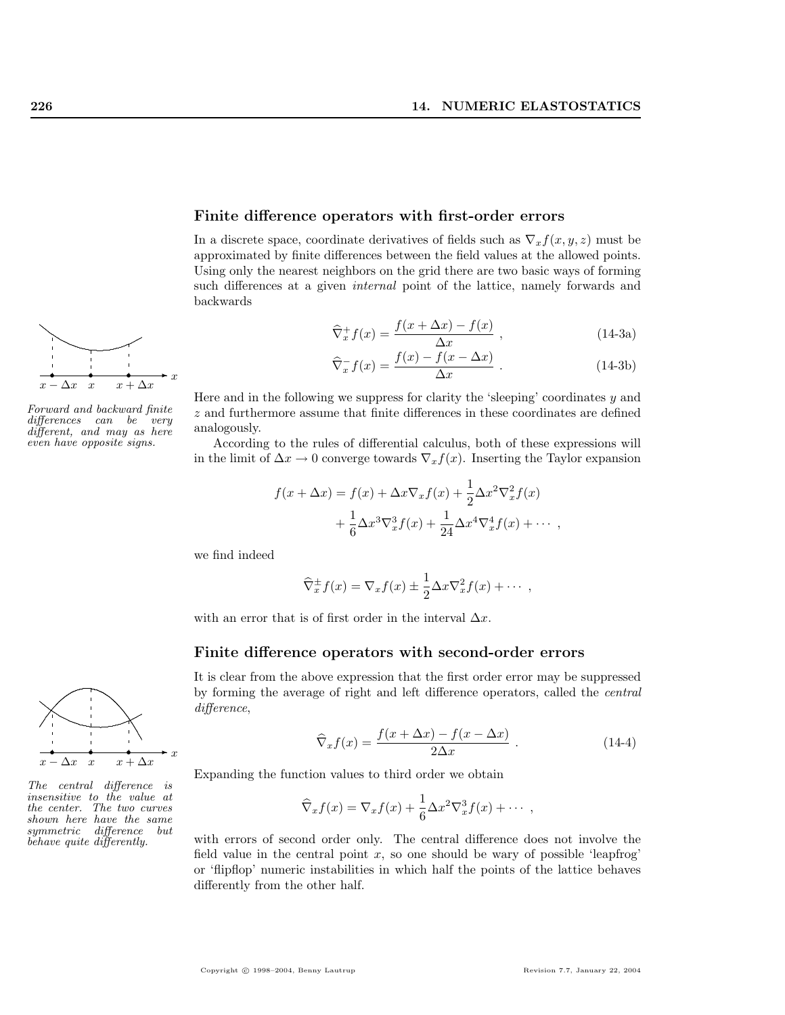

Forward and backward finite differences can be very different, and may as here even have opposite signs.



The central difference is insensitive to the value at the center. The two curves shown here have the same symmetric difference but behave quite differently.

#### Finite difference operators with first-order errors

In a discrete space, coordinate derivatives of fields such as  $\nabla_x f(x, y, z)$  must be approximated by finite differences between the field values at the allowed points. Using only the nearest neighbors on the grid there are two basic ways of forming such differences at a given internal point of the lattice, namely forwards and backwards

$$
\widehat{\nabla}^+_x f(x) = \frac{f(x + \Delta x) - f(x)}{\Delta x}, \qquad (14-3a)
$$

$$
\widehat{\nabla}_x^- f(x) = \frac{f(x) - f(x - \Delta x)}{\Delta x} . \tag{14-3b}
$$

Here and in the following we suppress for clarity the 'sleeping' coordinates y and z and furthermore assume that finite differences in these coordinates are defined analogously.

According to the rules of differential calculus, both of these expressions will in the limit of  $\Delta x \to 0$  converge towards  $\nabla_x f(x)$ . Inserting the Taylor expansion

$$
f(x + \Delta x) = f(x) + \Delta x \nabla_x f(x) + \frac{1}{2} \Delta x^2 \nabla_x^2 f(x)
$$

$$
+ \frac{1}{6} \Delta x^3 \nabla_x^3 f(x) + \frac{1}{24} \Delta x^4 \nabla_x^4 f(x) + \cdots,
$$

we find indeed

$$
\widehat{\nabla}^{\pm}_x f(x) = \nabla_x f(x) \pm \frac{1}{2} \Delta x \nabla_x^2 f(x) + \cdots,
$$

with an error that is of first order in the interval  $\Delta x$ .

# Finite difference operators with second-order errors

It is clear from the above expression that the first order error may be suppressed by forming the average of right and left difference operators, called the central difference,

$$
\widehat{\nabla}_x f(x) = \frac{f(x + \Delta x) - f(x - \Delta x)}{2\Delta x} . \tag{14-4}
$$

Expanding the function values to third order we obtain

$$
\widehat{\nabla}_x f(x) = \nabla_x f(x) + \frac{1}{6} \Delta x^2 \nabla_x^3 f(x) + \cdots,
$$

with errors of second order only. The central difference does not involve the field value in the central point  $x$ , so one should be wary of possible 'leapfrog' or 'flipflop' numeric instabilities in which half the points of the lattice behaves differently from the other half.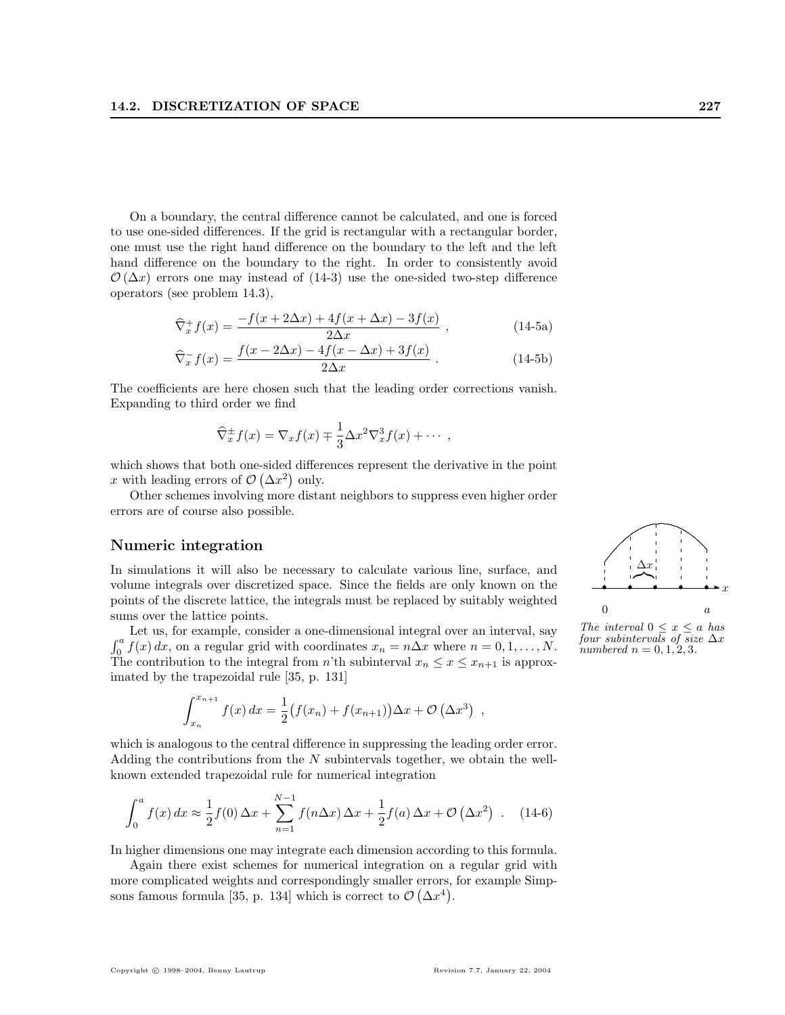On a boundary, the central difference cannot be calculated, and one is forced to use one-sided differences. If the grid is rectangular with a rectangular border, one must use the right hand difference on the boundary to the left and the left hand difference on the boundary to the right. In order to consistently avoid  $\mathcal{O}(\Delta x)$  errors one may instead of (14-3) use the one-sided two-step difference operators (see problem 14.3),

$$
\widehat{\nabla}^+_{x} f(x) = \frac{-f(x + 2\Delta x) + 4f(x + \Delta x) - 3f(x)}{2\Delta x},
$$
\n(14-5a)

$$
\widehat{\nabla}_x^- f(x) = \frac{f(x - 2\Delta x) - 4f(x - \Delta x) + 3f(x)}{2\Delta x} \,. \tag{14-5b}
$$

The coefficients are here chosen such that the leading order corrections vanish. Expanding to third order we find

$$
\widehat{\nabla}^{\pm}_x f(x) = \nabla_x f(x) \mp \frac{1}{3} \Delta x^2 \nabla_x^3 f(x) + \cdots,
$$

which shows that both one-sided differences represent the derivative in the point x with leading errors of  $\mathcal{O}(\Delta x^2)$  only.

Other schemes involving more distant neighbors to suppress even higher order errors are of course also possible.

## Numeric integration

In simulations it will also be necessary to calculate various line, surface, and volume integrals over discretized space. Since the fields are only known on the points of the discrete lattice, the integrals must be replaced by suitably weighted sums over the lattice points.

Let us, for example, consider a one-dimensional integral over an interval, say  $\int a$  $\int_0^a f(x) dx$ , on a regular grid with coordinates  $x_n = n\Delta x$  where  $n = 0, 1, ..., N$ . The contribution to the integral from n'th subinterval  $x_n \leq x \leq x_{n+1}$  is approximated by the trapezoidal rule [35, p. 131]

$$
\int_{x_n}^{x_{n+1}} f(x) dx = \frac{1}{2} (f(x_n) + f(x_{n+1})) \Delta x + \mathcal{O}(\Delta x^3) ,
$$

which is analogous to the central difference in suppressing the leading order error. Adding the contributions from the N subintervals together, we obtain the wellknown extended trapezoidal rule for numerical integration

$$
\int_0^a f(x) dx \approx \frac{1}{2} f(0) \Delta x + \sum_{n=1}^{N-1} f(n \Delta x) \Delta x + \frac{1}{2} f(a) \Delta x + \mathcal{O}(\Delta x^2) \quad . \quad (14-6)
$$

In higher dimensions one may integrate each dimension according to this formula.

Again there exist schemes for numerical integration on a regular grid with more complicated weights and correspondingly smaller errors, for example Simpsons famous formula [35, p. 134] which is correct to  $\mathcal{O}(\Delta x^4)$ .



The interval  $0 \leq x \leq a$  has four subintervals of size  $\Delta x$ numbered  $n = 0, 1, 2, 3$ .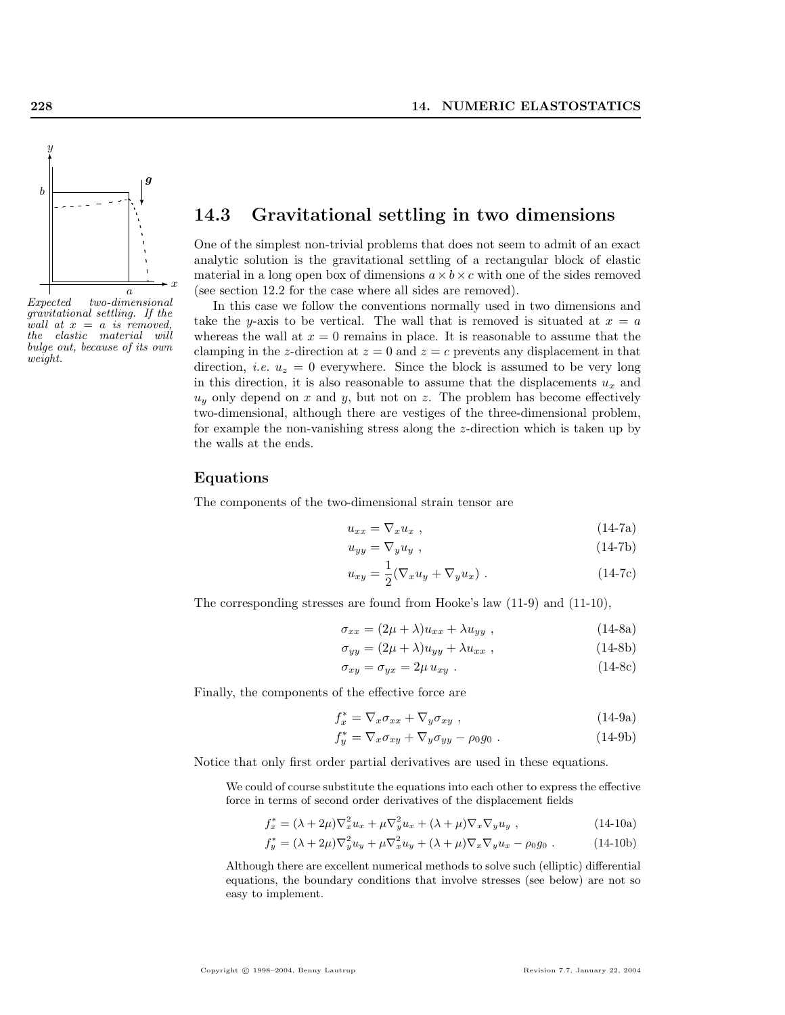

Expected two-dimensional gravitational settling. If the wall at  $x = a$  is removed, the elastic material will bulge out, because of its own weight.

# 14.3 Gravitational settling in two dimensions

One of the simplest non-trivial problems that does not seem to admit of an exact analytic solution is the gravitational settling of a rectangular block of elastic material in a long open box of dimensions  $a \times b \times c$  with one of the sides removed (see section 12.2 for the case where all sides are removed).

In this case we follow the conventions normally used in two dimensions and take the y-axis to be vertical. The wall that is removed is situated at  $x = a$ whereas the wall at  $x = 0$  remains in place. It is reasonable to assume that the clamping in the z-direction at  $z = 0$  and  $z = c$  prevents any displacement in that direction, *i.e.*  $u_z = 0$  everywhere. Since the block is assumed to be very long in this direction, it is also reasonable to assume that the displacements  $u_x$  and  $u<sub>y</sub>$  only depend on x and y, but not on z. The problem has become effectively two-dimensional, although there are vestiges of the three-dimensional problem, for example the non-vanishing stress along the z-direction which is taken up by the walls at the ends.

#### Equations

The components of the two-dimensional strain tensor are

$$
u_{xx} = \nabla_x u_x \tag{14-7a}
$$

$$
u_{yy} = \nabla_y u_y \t{,} \t(14-7b)
$$

$$
u_{xy} = \frac{1}{2} (\nabla_x u_y + \nabla_y u_x) . \qquad (14-7c)
$$

The corresponding stresses are found from Hooke's law (11-9) and (11-10),

$$
\sigma_{xx} = (2\mu + \lambda)u_{xx} + \lambda u_{yy} , \qquad (14-8a)
$$

$$
\sigma_{yy} = (2\mu + \lambda)u_{yy} + \lambda u_{xx} , \qquad (14-8b)
$$

$$
\sigma_{xy} = \sigma_{yx} = 2\mu u_{xy} \tag{14-8c}
$$

Finally, the components of the effective force are

$$
f_x^* = \nabla_x \sigma_{xx} + \nabla_y \sigma_{xy} , \qquad (14-9a)
$$

$$
f_y^* = \nabla_x \sigma_{xy} + \nabla_y \sigma_{yy} - \rho_0 g_0 \tag{14-9b}
$$

Notice that only first order partial derivatives are used in these equations.

We could of course substitute the equations into each other to express the effective force in terms of second order derivatives of the displacement fields

$$
f_x^* = (\lambda + 2\mu)\nabla_x^2 u_x + \mu \nabla_y^2 u_x + (\lambda + \mu)\nabla_x \nabla_y u_y , \qquad (14-10a)
$$

$$
f_y^* = (\lambda + 2\mu)\nabla_y^2 u_y + \mu \nabla_x^2 u_y + (\lambda + \mu)\nabla_x \nabla_y u_x - \rho_0 g_0.
$$
 (14-10b)

Although there are excellent numerical methods to solve such (elliptic) differential equations, the boundary conditions that involve stresses (see below) are not so easy to implement.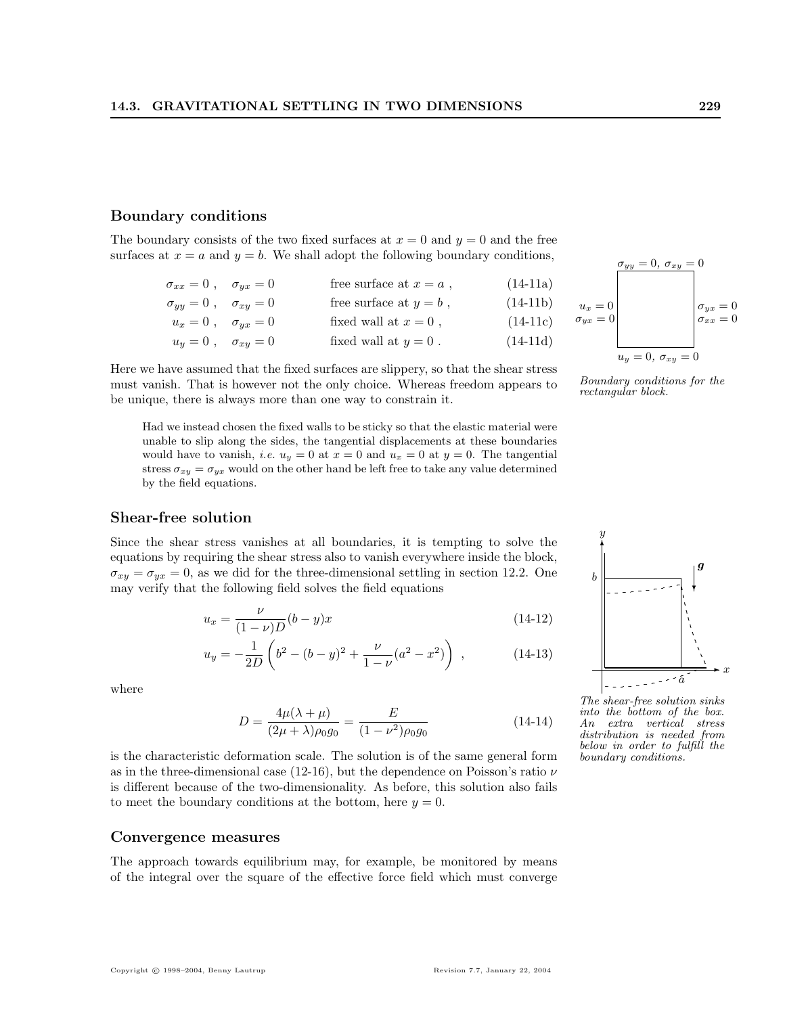## Boundary conditions

The boundary consists of the two fixed surfaces at  $x = 0$  and  $y = 0$  and the free surfaces at  $x = a$  and  $y = b$ . We shall adopt the following boundary conditions,

| $\sigma_{xx} = 0$ , $\sigma_{yx} = 0$ | free surface at $x = a$ , | $(14-11a)$ |
|---------------------------------------|---------------------------|------------|
| $\sigma_{yy} = 0$ , $\sigma_{xy} = 0$ | free surface at $y = b$ , | $(14-11b)$ |
| $u_x = 0$ , $\sigma_{yx} = 0$         | fixed wall at $x = 0$ ,   | $(14-11c)$ |
| $u_y = 0$ , $\sigma_{xy} = 0$         | fixed wall at $y = 0$ .   | $(14-11d)$ |

Here we have assumed that the fixed surfaces are slippery, so that the shear stress must vanish. That is however not the only choice. Whereas freedom appears to be unique, there is always more than one way to constrain it.

Had we instead chosen the fixed walls to be sticky so that the elastic material were unable to slip along the sides, the tangential displacements at these boundaries would have to vanish, *i.e.*  $u_y = 0$  at  $x = 0$  and  $u_x = 0$  at  $y = 0$ . The tangential stress  $\sigma_{xy} = \sigma_{yx}$  would on the other hand be left free to take any value determined by the field equations.

#### Shear-free solution

Since the shear stress vanishes at all boundaries, it is tempting to solve the equations by requiring the shear stress also to vanish everywhere inside the block,  $\sigma_{xy} = \sigma_{yx} = 0$ , as we did for the three-dimensional settling in section 12.2. One may verify that the following field solves the field equations

$$
u_x = \frac{\nu}{(1-\nu)D}(b-y)x\tag{14-12}
$$

$$
u_y = -\frac{1}{2D} \left( b^2 - (b - y)^2 + \frac{\nu}{1 - \nu} (a^2 - x^2) \right) , \qquad (14-13)
$$

where

$$
D = \frac{4\mu(\lambda + \mu)}{(2\mu + \lambda)\rho_0 g_0} = \frac{E}{(1 - \nu^2)\rho_0 g_0}
$$
(14-14)

is the characteristic deformation scale. The solution is of the same general form as in the three-dimensional case (12-16), but the dependence on Poisson's ratio  $\nu$ is different because of the two-dimensionality. As before, this solution also fails to meet the boundary conditions at the bottom, here  $y = 0$ .

#### Convergence measures

The approach towards equilibrium may, for example, be monitored by means of the integral over the square of the effective force field which must converge



Boundary conditions for the<br>rectangular block.



The shear-free solution sinks into the bottom of the box.<br>An extra vertical stress extra vertical stress distribution is needed from below in order to fulfill the boundary conditions.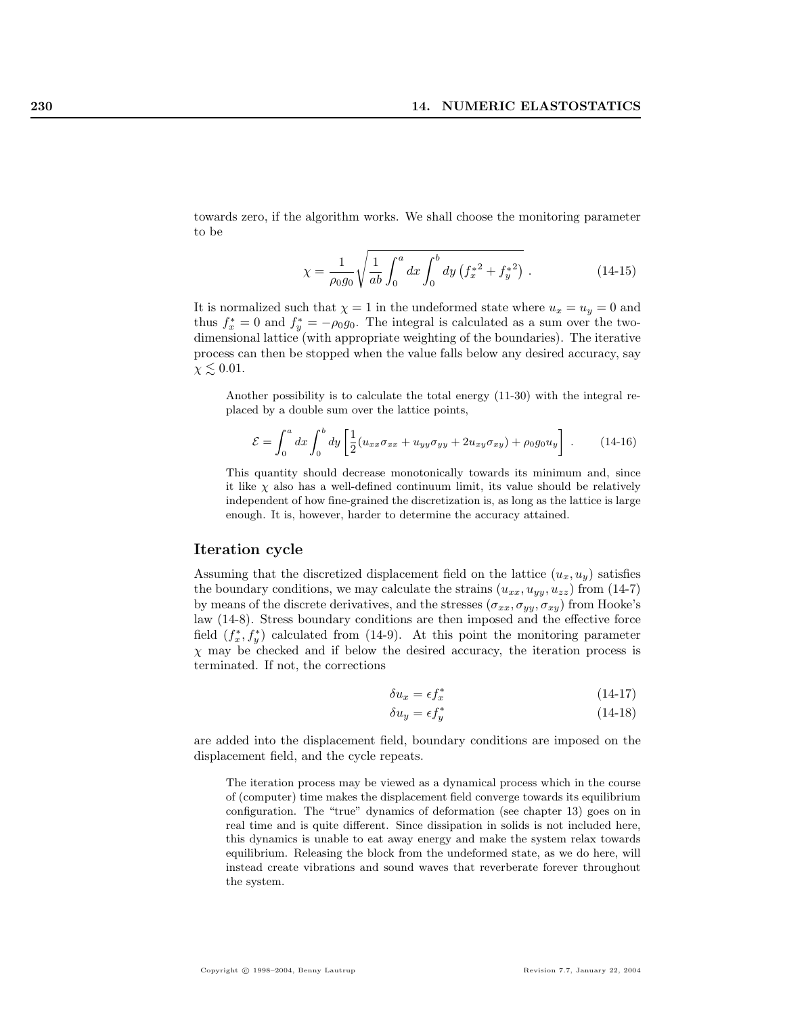towards zero, if the algorithm works. We shall choose the monitoring parameter to be

$$
\chi = \frac{1}{\rho_0 g_0} \sqrt{\frac{1}{ab} \int_0^a dx \int_0^b dy \left( f_x^{*2} + f_y^{*2} \right)} .
$$
 (14-15)

It is normalized such that  $\chi = 1$  in the undeformed state where  $u_x = u_y = 0$  and thus  $f_x^* = 0$  and  $f_y^* = -\rho_0 g_0$ . The integral is calculated as a sum over the twodimensional lattice (with appropriate weighting of the boundaries). The iterative process can then be stopped when the value falls below any desired accuracy, say  $\chi \lesssim 0.01$ .

Another possibility is to calculate the total energy (11-30) with the integral replaced by a double sum over the lattice points,

$$
\mathcal{E} = \int_0^a dx \int_0^b dy \left[ \frac{1}{2} (u_{xx}\sigma_{xx} + u_{yy}\sigma_{yy} + 2u_{xy}\sigma_{xy}) + \rho_0 g_0 u_y \right] \ . \tag{14-16}
$$

This quantity should decrease monotonically towards its minimum and, since it like  $\chi$  also has a well-defined continuum limit, its value should be relatively independent of how fine-grained the discretization is, as long as the lattice is large enough. It is, however, harder to determine the accuracy attained.

## Iteration cycle

Assuming that the discretized displacement field on the lattice  $(u_x, u_y)$  satisfies the boundary conditions, we may calculate the strains  $(u_{xx}, u_{yy}, u_{zz})$  from (14-7) by means of the discrete derivatives, and the stresses  $(\sigma_{xx}, \sigma_{yy}, \sigma_{xy})$  from Hooke's law (14-8). Stress boundary conditions are then imposed and the effective force field  $(f_x^*, f_y^*)$  calculated from (14-9). At this point the monitoring parameter  $\chi$  may be checked and if below the desired accuracy, the iteration process is terminated. If not, the corrections

$$
\delta u_x = \epsilon f_x^* \tag{14-17}
$$

$$
\delta u_y = \epsilon f_y^* \tag{14-18}
$$

are added into the displacement field, boundary conditions are imposed on the displacement field, and the cycle repeats.

The iteration process may be viewed as a dynamical process which in the course of (computer) time makes the displacement field converge towards its equilibrium configuration. The "true" dynamics of deformation (see chapter 13) goes on in real time and is quite different. Since dissipation in solids is not included here, this dynamics is unable to eat away energy and make the system relax towards equilibrium. Releasing the block from the undeformed state, as we do here, will instead create vibrations and sound waves that reverberate forever throughout the system.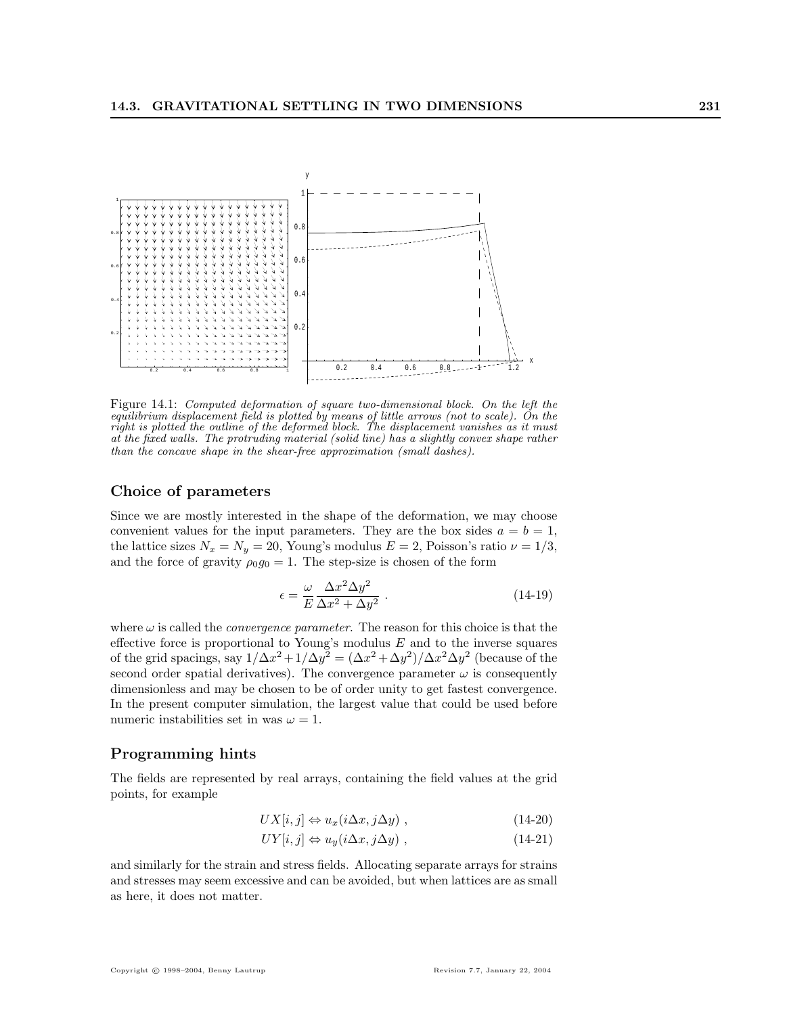

Figure 14.1: Computed deformation of square two-dimensional block. On the left the equilibrium displacement field is plotted by means of little arrows (not to scale). On the right is plotted the outline of the deformed block. The displacement vanishes as it must at the fixed walls. The protruding material (solid line) has a slightly convex shape rather than the concave shape in the shear-free approximation (small dashes).

#### Choice of parameters

Since we are mostly interested in the shape of the deformation, we may choose convenient values for the input parameters. They are the box sides  $a = b = 1$ , the lattice sizes  $N_x = N_y = 20$ , Young's modulus  $E = 2$ , Poisson's ratio  $\nu = 1/3$ , and the force of gravity  $\rho_0 g_0 = 1$ . The step-size is chosen of the form

$$
\epsilon = \frac{\omega}{E} \frac{\Delta x^2 \Delta y^2}{\Delta x^2 + \Delta y^2} \,. \tag{14-19}
$$

where  $\omega$  is called the *convergence parameter*. The reason for this choice is that the effective force is proportional to Young's modulus  $E$  and to the inverse squares of the grid spacings, say  $1/\Delta x^2 + 1/\Delta y^2 = (\Delta x^2 + \Delta y^2)/\Delta x^2 \Delta y^2$  (because of the second order spatial derivatives). The convergence parameter  $\omega$  is consequently dimensionless and may be chosen to be of order unity to get fastest convergence. In the present computer simulation, the largest value that could be used before numeric instabilities set in was  $\omega = 1$ .

### Programming hints

The fields are represented by real arrays, containing the field values at the grid points, for example

$$
UX[i,j] \Leftrightarrow u_x(i\Delta x, j\Delta y) , \qquad (14-20)
$$

$$
UY[i,j] \Leftrightarrow u_y(i\Delta x, j\Delta y) , \qquad (14-21)
$$

and similarly for the strain and stress fields. Allocating separate arrays for strains and stresses may seem excessive and can be avoided, but when lattices are as small as here, it does not matter.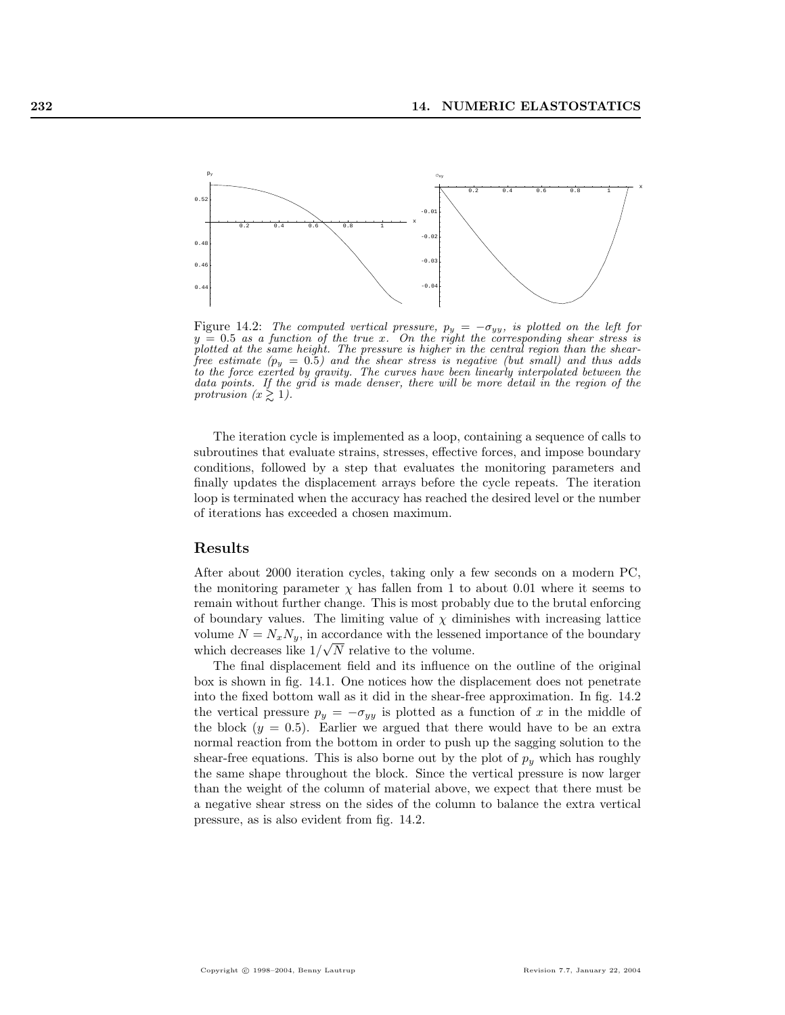

Figure 14.2: The computed vertical pressure,  $p_y = -\sigma_{yy}$ , is plotted on the left for  $y = 0.5$  as a function of the true x. On the right the corresponding shear stress is plotted at the same height. The pressure is higher in the central region than the shearfree estimate  $(p_y = 0.5)$  and the shear stress is negative (but small) and thus adds to the force exerted by gravity. The curves have been linearly interpolated between the data points. If the grid is made denser, there will be more detail in the region of the protrusion  $(x \gtrsim 1)$ .

The iteration cycle is implemented as a loop, containing a sequence of calls to subroutines that evaluate strains, stresses, effective forces, and impose boundary conditions, followed by a step that evaluates the monitoring parameters and finally updates the displacement arrays before the cycle repeats. The iteration loop is terminated when the accuracy has reached the desired level or the number of iterations has exceeded a chosen maximum.

### Results

After about 2000 iteration cycles, taking only a few seconds on a modern PC, the monitoring parameter  $\chi$  has fallen from 1 to about 0.01 where it seems to remain without further change. This is most probably due to the brutal enforcing of boundary values. The limiting value of  $\chi$  diminishes with increasing lattice volume  $N = N_x N_y$ , in accordance with the lessened importance of the boundary which decreases like  $1/\sqrt{N}$  relative to the volume.

The final displacement field and its influence on the outline of the original box is shown in fig. 14.1. One notices how the displacement does not penetrate into the fixed bottom wall as it did in the shear-free approximation. In fig. 14.2 the vertical pressure  $p_y = -\sigma_{yy}$  is plotted as a function of x in the middle of the block  $(y = 0.5)$ . Earlier we argued that there would have to be an extra normal reaction from the bottom in order to push up the sagging solution to the shear-free equations. This is also borne out by the plot of  $p_y$  which has roughly the same shape throughout the block. Since the vertical pressure is now larger than the weight of the column of material above, we expect that there must be a negative shear stress on the sides of the column to balance the extra vertical pressure, as is also evident from fig. 14.2.